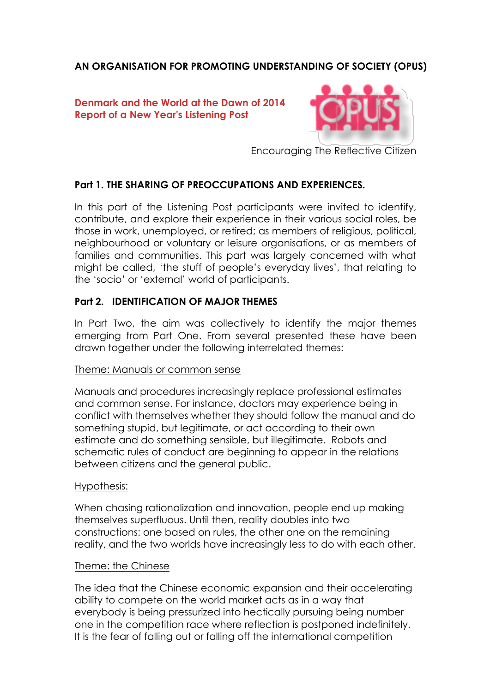# **AN ORGANISATION FOR PROMOTING UNDERSTANDING OF SOCIETY (OPUS)**

## **Denmark and the World at the Dawn of 2014 Report of a New Year's Listening Post**



Encouraging The Reflective Citizen

## **Part 1. THE SHARING OF PREOCCUPATIONS AND EXPERIENCES.**

In this part of the Listening Post participants were invited to identify, contribute, and explore their experience in their various social roles, be those in work, unemployed, or retired; as members of religious, political, neighbourhood or voluntary or leisure organisations, or as members of families and communities. This part was largely concerned with what might be called, 'the stuff of people's everyday lives', that relating to the 'socio' or 'external' world of participants.

## **Part 2. IDENTIFICATION OF MAJOR THEMES**

In Part Two, the aim was collectively to identify the major themes emerging from Part One. From several presented these have been drawn together under the following interrelated themes:

### Theme: Manuals or common sense

Manuals and procedures increasingly replace professional estimates and common sense. For instance, doctors may experience being in conflict with themselves whether they should follow the manual and do something stupid, but legitimate, or act according to their own estimate and do something sensible, but illegitimate. Robots and schematic rules of conduct are beginning to appear in the relations between citizens and the general public.

### Hypothesis:

When chasing rationalization and innovation, people end up making themselves superfluous. Until then, reality doubles into two constructions: one based on rules, the other one on the remaining reality, and the two worlds have increasingly less to do with each other.

#### Theme: the Chinese

The idea that the Chinese economic expansion and their accelerating ability to compete on the world market acts as in a way that everybody is being pressurized into hectically pursuing being number one in the competition race where reflection is postponed indefinitely. It is the fear of falling out or falling off the international competition